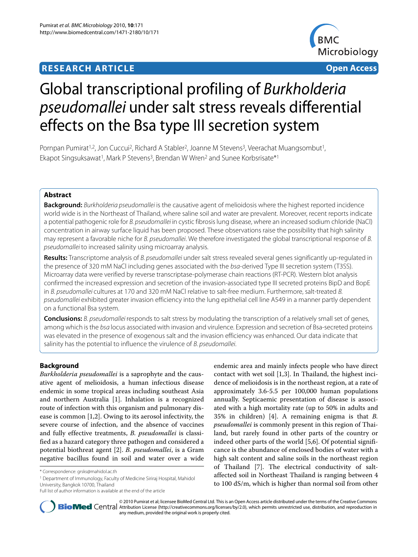# **RESEARCH ARTICLE Open Access**



# Global transcriptional profiling of Burkholderia pseudomallei under salt stress reveals differential effects on the Bsa type III secretion system

Pornpan Pumirat<sup>1,2</sup>, Jon Cuccui<sup>2</sup>, Richard A Stabler<sup>2</sup>, Joanne M Stevens<sup>3</sup>, Veerachat Muangsombut<sup>1</sup>, Ekapot Singsuksawat<sup>1</sup>, Mark P Stevens<sup>3</sup>, Brendan W Wren<sup>2</sup> and Sunee Korbsrisate<sup>\*1</sup>

# **Abstract**

**Background:** Burkholderia pseudomallei is the causative agent of melioidosis where the highest reported incidence world wide is in the Northeast of Thailand, where saline soil and water are prevalent. Moreover, recent reports indicate a potential pathogenic role for B. pseudomallei in cystic fibrosis lung disease, where an increased sodium chloride (NaCl) concentration in airway surface liquid has been proposed. These observations raise the possibility that high salinity may represent a favorable niche for B. pseudomallei. We therefore investigated the global transcriptional response of B. pseudomallei to increased salinity using microarray analysis.

**Results:** Transcriptome analysis of B. pseudomallei under salt stress revealed several genes significantly up-regulated in the presence of 320 mM NaCl including genes associated with the bsa-derived Type III secretion system (T3SS). Microarray data were verified by reverse transcriptase-polymerase chain reactions (RT-PCR). Western blot analysis confirmed the increased expression and secretion of the invasion-associated type III secreted proteins BipD and BopE in B. pseudomallei cultures at 170 and 320 mM NaCl relative to salt-free medium. Furthermore, salt-treated B. pseudomallei exhibited greater invasion efficiency into the lung epithelial cell line A549 in a manner partly dependent on a functional Bsa system.

**Conclusions:** B. pseudomallei responds to salt stress by modulating the transcription of a relatively small set of genes, among which is the bsa locus associated with invasion and virulence. Expression and secretion of Bsa-secreted proteins was elevated in the presence of exogenous salt and the invasion efficiency was enhanced. Our data indicate that salinity has the potential to influence the virulence of *B. pseudomallei*.

# **Background**

*Burkholderia pseudomallei* is a saprophyte and the causative agent of melioidosis, a human infectious disease endemic in some tropical areas including southeast Asia and northern Australia [\[1](#page-9-0)]. Inhalation is a recognized route of infection with this organism and pulmonary disease is common [[1](#page-9-0),[2\]](#page-9-1). Owing to its aerosol infectivity, the severe course of infection, and the absence of vaccines and fully effective treatments, *B. pseudomallei* is classified as a hazard category three pathogen and considered a potential biothreat agent [\[2](#page-9-1)]. *B. pseudomallei*, is a Gram negative bacillus found in soil and water over a wide

1 Department of Immunology, Faculty of Medicine Siriraj Hospital, Mahidol University, Bangkok 10700, Thailand

endemic area and mainly infects people who have direct contact with wet soil [\[1](#page-9-0)[,3](#page-9-2)]. In Thailand, the highest incidence of melioidosis is in the northeast region, at a rate of approximately 3.6-5.5 per 100,000 human populations annually. Septicaemic presentation of disease is associated with a high mortality rate (up to 50% in adults and 35% in children) [\[4](#page-10-0)]. A remaining enigma is that *B. pseudomallei* is commonly present in this region of Thailand, but rarely found in other parts of the country or indeed other parts of the world [\[5](#page-10-1)[,6](#page-10-2)]. Of potential significance is the abundance of enclosed bodies of water with a high salt content and saline soils in the northeast region of Thailand [[7\]](#page-10-3). The electrical conductivity of saltaffected soil in Northeast Thailand is ranging between 4 to 100 dS/m, which is higher than normal soil from other



© 2010 Pumirat et al; licensee BioMed Central Ltd. This is an Open Access article distributed under the terms of the Creative Commons **Bio Med** Central Attribution License (http://creativecommons.org/licenses/by/2.0), which permits unrestricted use, distribution, and reproduction in any medium, provided the original work is properly cited.

<sup>\*</sup> Correspondence: grsks@mahidol.ac.th

Full list of author information is available at the end of the article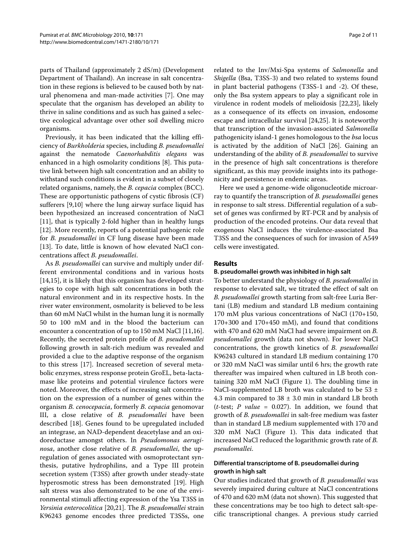parts of Thailand (approximately 2 dS/m) (Development Department of Thailand). An increase in salt concentration in these regions is believed to be caused both by natural phenomena and man-made activities [\[7](#page-10-3)]. One may speculate that the organism has developed an ability to thrive in saline conditions and as such has gained a selective ecological advantage over other soil dwelling micro organisms.

Previously, it has been indicated that the killing efficiency of *Burkholderia* species, including *B. pseudomallei* against the nematode *Caenorhabditis elegans* was enhanced in a high osmolarity conditions [\[8](#page-10-4)]. This putative link between high salt concentration and an ability to withstand such conditions is evident in a subset of closely related organisms, namely, the *B. cepacia* complex (BCC). These are opportunistic pathogens of cystic fibrosis (CF) sufferers [\[9](#page-10-5)[,10](#page-10-6)] where the lung airway surface liquid has been hypothesized an increased concentration of NaCl [[11\]](#page-10-7), that is typically 2-fold higher than in healthy lungs [[12\]](#page-10-8). More recently, reports of a potential pathogenic role for *B. pseudomallei* in CF lung disease have been made [[13\]](#page-10-9). To date, little is known of how elevated NaCl concentrations affect *B. pseudomallei*.

As *B. pseudomallei* can survive and multiply under different environmental conditions and in various hosts [[14,](#page-10-10)[15\]](#page-10-11), it is likely that this organism has developed strategies to cope with high salt concentrations in both the natural environment and in its respective hosts. In the river water environment, osmolarity is believed to be less than 60 mM NaCl whilst in the human lung it is normally 50 to 100 mM and in the blood the bacterium can encounter a concentration of up to 150 mM NaCl [\[11](#page-10-7)[,16](#page-10-12)]. Recently, the secreted protein profile of *B. pseudomallei* following growth in salt-rich medium was revealed and provided a clue to the adaptive response of the organism to this stress [[17\]](#page-10-13). Increased secretion of several metabolic enzymes, stress response protein GroEL, beta-lactamase like proteins and potential virulence factors were noted. Moreover, the effects of increasing salt concentration on the expression of a number of genes within the organism *B. cenocepacia*, formerly *B. cepacia* genomovar III, a close relative of *B. pseudomallei* have been described [[18\]](#page-10-14). Genes found to be upregulated included an integrase, an NAD-dependent deacetylase and an oxidoreductase amongst others. In *Pseudomonas aeruginosa*, another close relative of *B. pseudomallei*, the upregulation of genes associated with osmoprotectant synthesis, putative hydrophilins, and a Type III protein secretion system (T3SS) after growth under steady-state hyperosmotic stress has been demonstrated [[19\]](#page-10-15). High salt stress was also demonstrated to be one of the environmental stimuli affecting expression of the Ysa T3SS in *Yersinia enterocolitica* [[20,](#page-10-16)[21\]](#page-10-17). The *B. pseudomallei* strain K96243 genome encodes three predicted T3SSs, one

related to the Inv/Mxi-Spa systems of *Salmonella* and *Shigella* (Bsa, T3SS-3) and two related to systems found in plant bacterial pathogens (T3SS-1 and -2). Of these, only the Bsa system appears to play a significant role in virulence in rodent models of melioidosis [\[22](#page-10-18)[,23](#page-10-19)], likely as a consequence of its effects on invasion, endosome escape and intracellular survival [[24,](#page-10-20)[25\]](#page-10-21). It is noteworthy that transcription of the invasion-associated *Salmonella* pathogenicity island-1 genes homologous to the *bsa* locus is activated by the addition of NaCl [\[26\]](#page-10-22). Gaining an understanding of the ability of *B. pseudomallei* to survive in the presence of high salt concentrations is therefore significant, as this may provide insights into its pathogenicity and persistence in endemic areas.

Here we used a genome-wide oligonucleotide microarray to quantify the transcription of *B. pseudomallei* genes in response to salt stress. Differential regulation of a subset of genes was confirmed by RT-PCR and by analysis of production of the encoded proteins. Our data reveal that exogenous NaCl induces the virulence-associated Bsa T3SS and the consequences of such for invasion of A549 cells were investigated.

#### **Results**

#### **B. pseudomallei growth was inhibited in high salt**

To better understand the physiology of *B. pseudomallei* in response to elevated salt, we titrated the effect of salt on *B. pseudomallei* growth starting from salt-free Luria Bertani (LB) medium and standard LB medium containing 170 mM plus various concentrations of NaCl (170+150, 170+300 and 170+450 mM), and found that conditions with 470 and 620 mM NaCl had severe impairment on *B. pseudomallei* growth (data not shown). For lower NaCl concentrations, the growth kinetics of *B. pseudomallei* K96243 cultured in standard LB medium containing 170 or 320 mM NaCl was similar until 6 hrs; the growth rate thereafter was impaired when cultured in LB broth containing 320 mM NaCl (Figure [1](#page-2-0)). The doubling time in NaCl-supplemented LB broth was calculated to be 53 ± 4.3 min compared to 38 ± 3.0 min in standard LB broth ( $t$ -test;  $P$  *value* = 0.027). In addition, we found that growth of *B. pseudomallei* in salt-free medium was faster than in standard LB medium supplemented with 170 and 320 mM NaCl (Figure [1\)](#page-2-0). This data indicated that increased NaCl reduced the logarithmic growth rate of *B. pseudomallei*.

# **Differential transcriptome of B. pseudomallei during growth in high salt**

Our studies indicated that growth of *B. pseudomallei* was severely impaired during culture at NaCl concentrations of 470 and 620 mM (data not shown). This suggested that these concentrations may be too high to detect salt-specific transcriptional changes. A previous study carried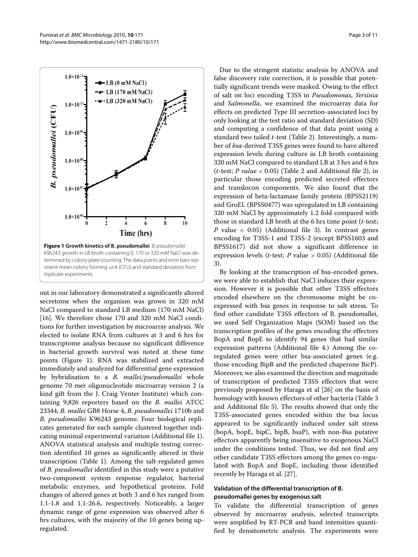<span id="page-2-0"></span>

K96243 growth in LB broth containing 0, 170 or 320 mM NaCl was determined by colony plate counting. The data points and error bars represent mean colony forming unit (CFU) and standard deviation from triplicate experiments.

out in our laboratory demonstrated a significantly altered secretome when the organism was grown in 320 mM NaCl compared to standard LB medium (170 mM NaCl) [[16\]](#page-10-12). We therefore chose 170 and 320 mM NaCl conditions for further investigation by microarray analysis. We elected to isolate RNA from cultures at 3 and 6 hrs for transcriptome analysis because no significant difference in bacterial growth survival was noted at these time points (Figure [1\)](#page-2-0). RNA was stabilized and extracted immediately and analyzed for differential gene expression by hybridisation to a *B. mallei/pseudomallei* whole genome 70 mer oligonucleotide microarray version 2 (a kind gift from the J. Craig Venter Institute) which containing 9,826 reporters based on the *B. mallei* ATCC 23344, *B. mallei* GB8 Horse 4, *B. pseudomallei* 1710b and *B. pseudomallei* K96243 genome. Four biological replicates generated for each sample clustered together indicating minimal experimental variation (Additional file [1](#page-9-3)). ANOVA statistical analysis and multiple testing correction identified 10 genes as significantly altered in their transcription (Table 1). Among the salt-regulated genes of *B. pseudomallei* identified in this study were a putative two-component system response regulator, bacterial metabolic enzymes, and hypothetical proteins. Fold changes of altered genes at both 3 and 6 hrs ranged from 1.1-1.8 and 1.1-26.6, respectively. Noticeably, a larger dynamic range of gene expression was observed after 6 hrs cultures, with the majority of the 10 genes being upregulated.

Due to the stringent statistic analysis by ANOVA and false discovery rate correction, it is possible that potentially significant trends were masked. Owing to the effect of salt on loci encoding T3SS in *Pseudomonas*, *Yersinia* and *Salmonella*, we examined the microarray data for effects on predicted Type III secretion-associated loci by only looking at the test ratio and standard deviation (SD) and computing a confidence of that data point using a standard two tailed *t*-test (Table 2). Interestingly, a number of *bsa*-derived T3SS genes were found to have altered expression levels during culture in LB broth containing 320 mM NaCl compared to standard LB at 3 hrs and 6 hrs (*t*-test; *P value* < 0.05) (Table 2 and Additional file [2](#page-9-4)), in particular those encoding predicted secreted effectors and translocon components. We also found that the expression of beta-lactamase family protein (BPSS2119) and GroEL (BPSS0477) was upregulated in LB containing 320 mM NaCl by approximately 1.2 fold compared with those in standard LB broth at the 6 hrs time point (*t*-test; *P* value < 0.05) (Additional file [3\)](#page-9-5). In contrast genes encoding for T3SS-1 and T3SS-2 (except BPSS1603 and BPSS1617) did not show a significant difference in expression levels (*t*-test; *P* value > 0.05) (Additional file [3\)](#page-9-5).

By looking at the transcription of bsa-encoded genes, we were able to establish that NaCl induces their expression. However it is possible that other T3SS effectors encoded elsewhere on the chromosome might be coexpressed with bsa genes in response to salt stress. To find other candidate T3SS effectors of B. pseudomallei, we used Self Organization Maps (SOM) based on the transcription profiles of the genes encoding the effectors BopA and BopE to identify 94 genes that had similar expression patterns (Additional file [4](#page-9-6).) Among the coregulated genes were other bsa-associated genes (e.g. those encoding BipB and the predicted chaperone BicP). Moreover, we also examined the direction and magnitude of transcription of predicted T3SS effectors that were previously proposed by Haraga et al [\[26](#page-10-22)] on the basis of homology with known effectors of other bacteria (Table 3 and Additional file [5](#page-9-7)). The results showed that only the T3SS-associated genes encoded within the bsa locus appeared to be significantly induced under salt stress (bopA, bopE, bipC, bipB, bsaP), with non-Bsa putative effectors apparently being insensitive to exogenous NaCl under the conditions tested. Thus, we did not find any other candidate T3SS effectors among the genes co-regulated with BopA and BopE, including those identified recently by Haraga et al. [\[27\]](#page-10-23).

# **Validation of the differential transcription of B. pseudomallei genes by exogenous salt**

To validate the differential transcription of genes observed by microarray analysis, selected transcripts were amplified by RT-PCR and band intensities quantified by densitometric analysis. The experiments were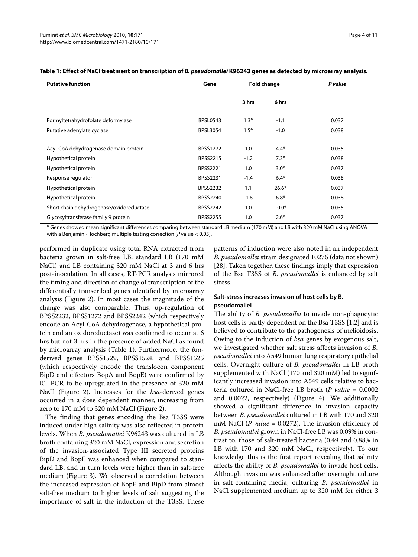| <b>Putative function</b>                 | Gene            | <b>Fold change</b> |         | P value |
|------------------------------------------|-----------------|--------------------|---------|---------|
|                                          |                 | 3 hrs              | 6 hrs   |         |
| Formyltetrahydrofolate deformylase       | <b>BPSL0543</b> | $1.3*$             | $-1.1$  | 0.037   |
| Putative adenylate cyclase               | <b>BPSL3054</b> | $1.5*$             | $-1.0$  | 0.038   |
| Acyl-CoA dehydrogenase domain protein    | <b>BPSS1272</b> | 1.0                | $4.4*$  | 0.035   |
| Hypothetical protein                     | <b>BPSS2215</b> | $-1.2$             | $7.3*$  | 0.038   |
| Hypothetical protein                     | <b>BPSS2221</b> | 1.0                | $3.0*$  | 0.037   |
| Response regulator                       | <b>BPSS2231</b> | $-1.4$             | $6.4*$  | 0.038   |
| Hypothetical protein                     | <b>BPSS2232</b> | 1.1                | $26.6*$ | 0.037   |
| Hypothetical protein                     | <b>BPSS2240</b> | $-1.8$             | $6.8*$  | 0.038   |
| Short chain dehydrogenase/oxidoreductase | <b>BPSS2242</b> | 1.0                | $10.0*$ | 0.035   |
| Glycosyltransferase family 9 protein     | <b>BPSS2255</b> | 1.0                | $2.6*$  | 0.037   |

# Table 1: Effect of NaCl treatment on transcription of *B. pseudomallei* K96243 genes as detected by microarray analysis.

\* Genes showed mean significant differences comparing between standard LB medium (170 mM) and LB with 320 mM NaCl using ANOVA with a Benjamini-Hochberg multiple testing correction (P value < 0.05).

performed in duplicate using total RNA extracted from bacteria grown in salt-free LB, standard LB (170 mM NaCl) and LB containing 320 mM NaCl at 3 and 6 hrs post-inoculation. In all cases, RT-PCR analysis mirrored the timing and direction of change of transcription of the differentially transcribed genes identified by microarray analysis (Figure [2\)](#page-6-0). In most cases the magnitude of the change was also comparable. Thus, up-regulation of BPSS2232, BPSS1272 and BPSS2242 (which respectively encode an Acyl-CoA dehydrogenase, a hypothetical protein and an oxidoreductase) was confirmed to occur at 6 hrs but not 3 hrs in the presence of added NaCl as found by microarray analysis (Table 1). Furthermore, the *bsa*derived genes BPSS1529, BPSS1524, and BPSS1525 (which respectively encode the translocon component BipD and effectors BopA and BopE) were confirmed by RT-PCR to be upregulated in the presence of 320 mM NaCl (Figure [2](#page-6-0)). Increases for the *bsa*-derived genes occurred in a dose dependent manner, increasing from zero to 170 mM to 320 mM NaCl (Figure [2](#page-6-0)).

The finding that genes encoding the Bsa T3SS were induced under high salinity was also reflected in protein levels. When *B. pseudomallei* K96243 was cultured in LB broth containing 320 mM NaCl, expression and secretion of the invasion-associated Type III secreted proteins BipD and BopE was enhanced when compared to standard LB, and in turn levels were higher than in salt-free medium (Figure [3](#page-7-0)). We observed a correlation between the increased expression of BopE and BipD from almost salt-free medium to higher levels of salt suggesting the importance of salt in the induction of the T3SS. These

patterns of induction were also noted in an independent *B. pseudomallei* strain designated 10276 (data not shown) [[28\]](#page-10-24). Taken together, these findings imply that expression of the Bsa T3SS of *B. pseudomallei* is enhanced by salt stress.

# **Salt-stress increases invasion of host cells by B. pseudomallei**

The ability of *B. pseudomallei* to invade non-phagocytic host cells is partly dependent on the Bsa T3SS [\[1](#page-9-0)[,2](#page-9-1)] and is believed to contribute to the pathogenesis of melioidosis. Owing to the induction of *bsa* genes by exogenous salt, we investigated whether salt stress affects invasion of *B. pseudomallei* into A549 human lung respiratory epithelial cells. Overnight culture of *B. pseudomallei* in LB broth supplemented with NaCl (170 and 320 mM) led to significantly increased invasion into A549 cells relative to bacteria cultured in NaCl-free LB broth (*P value* = 0.0002 and 0.0022, respectively) (Figure [4\)](#page-7-1). We additionally showed a significant difference in invasion capacity between *B. pseudomallei* cultured in LB with 170 and 320 mM NaCl (*P value* = 0.0272). The invasion efficiency of *B. pseudomallei* grown in NaCl-free LB was 0.09% in contrast to, those of salt-treated bacteria (0.49 and 0.88% in LB with 170 and 320 mM NaCl, respectively). To our knowledge this is the first report revealing that salinity affects the ability of *B. pseudomallei* to invade host cells. Although invasion was enhanced after overnight culture in salt-containing media, culturing *B. pseudomallei* in NaCl supplemented medium up to 320 mM for either 3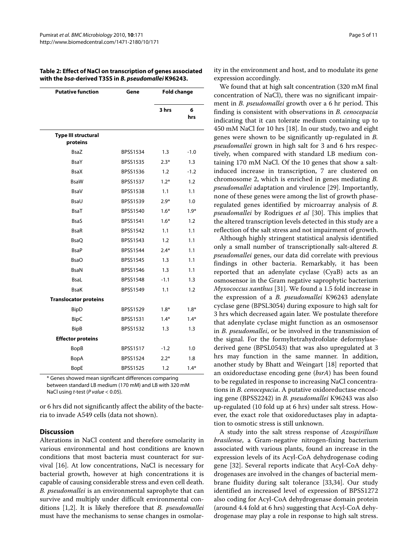| <b>Putative function</b>               | Gene            | <b>Fold change</b> |          |
|----------------------------------------|-----------------|--------------------|----------|
|                                        |                 | 3 hrs              | 6<br>hrs |
| <b>Type III structural</b><br>proteins |                 |                    |          |
| <b>BsaZ</b>                            | BPSS1534        | 1.3                | $-1.0$   |
| <b>BsaY</b>                            | <b>BPSS1535</b> | $2.3*$             | 1.3      |
| <b>BsaX</b>                            | <b>BPSS1536</b> | 1.2                | $-1.2$   |
| <b>BsaW</b>                            | <b>BPSS1537</b> | $1.2*$             | 1.2      |
| <b>BsaV</b>                            | <b>BPSS1538</b> | 1.1                | 1.1      |
| BsaU                                   | <b>BPSS1539</b> | $2.9*$             | 1.0      |
| <b>BsaT</b>                            | <b>BPSS1540</b> | $1.6*$             | $1.9*$   |
| <b>BsaS</b>                            | <b>BPSS1541</b> | $1.6*$             | 1.2      |
| <b>BsaR</b>                            | <b>BPSS1542</b> | 1.1                | 1.1      |
| <b>BsaQ</b>                            | <b>BPSS1543</b> | 1.2                | 1.1      |
| <b>BsaP</b>                            | <b>BPSS1544</b> | $2.4*$             | 1.1      |
| <b>BsaO</b>                            | <b>BPSS1545</b> | 1.3                | 1.1      |
| <b>BsaN</b>                            | BPSS1546        | 1.3                | 1.1      |
| <b>BsaL</b>                            | <b>BPSS1548</b> | $-1.1$             | 1.3      |
| <b>BsaK</b>                            | <b>BPSS1549</b> | 1.1                | 1.2      |
| <b>Translocator proteins</b>           |                 |                    |          |
| <b>BipD</b>                            | <b>BPSS1529</b> | $1.8*$             | $1.8*$   |
| <b>BipC</b>                            | <b>BPSS1531</b> | $1.4*$             | $1.4*$   |
| <b>BipB</b>                            | <b>BPSS1532</b> | 1.3                | 1.3      |
| <b>Effector proteins</b>               |                 |                    |          |
| BopB                                   | <b>BPSS1517</b> | $-1.2$             | 1.0      |
| BopA                                   | <b>BPSS1524</b> | $2.2*$             | 1.8      |
| <b>BopE</b>                            | <b>BPSS1525</b> | 1.2                | $1.4*$   |

**Table 2: Effect of NaCl on transcription of genes associated with the** *bsa***-derived T3SS in** *B. pseudomallei* **K96243.**

\* Genes showed mean significant differences comparing between standard LB medium (170 mM) and LB with 320 mM NaCl using t-test ( $P$  value < 0.05).

or 6 hrs did not significantly affect the ability of the bacteria to invade A549 cells (data not shown).

#### **Discussion**

Alterations in NaCl content and therefore osmolarity in various environmental and host conditions are known conditions that most bacteria must counteract for survival [\[16](#page-10-12)]. At low concentrations, NaCl is necessary for bacterial growth, however at high concentrations it is capable of causing considerable stress and even cell death. *B. pseudomallei* is an environmental saprophyte that can survive and multiply under difficult environmental conditions [\[1](#page-9-0),[2](#page-9-1)]. It is likely therefore that *B. pseudomallei* must have the mechanisms to sense changes in osmolarity in the environment and host, and to modulate its gene expression accordingly.

We found that at high salt concentration (320 mM final concentration of NaCl), there was no significant impairment in *B. pseudomallei* growth over a 6 hr period. This finding is consistent with observations in *B. cenocepacia* indicating that it can tolerate medium containing up to 450 mM NaCl for 10 hrs [[18\]](#page-10-14). In our study, two and eight genes were shown to be significantly up-regulated in *B. pseudomallei* grown in high salt for 3 and 6 hrs respectively, when compared with standard LB medium containing 170 mM NaCl. Of the 10 genes that show a saltinduced increase in transcription, 7 are clustered on chromosome 2, which is enriched in genes mediating *B. pseudomallei* adaptation and virulence [[29](#page-10-25)]. Importantly, none of these genes were among the list of growth phaseregulated genes identified by microarray analysis of *B. pseudomallei* by Rodrigues *et al* [[30\]](#page-10-26). This implies that the altered transcription levels detected in this study are a reflection of the salt stress and not impairment of growth.

Although highly stringent statistical analysis identified only a small number of transcriptionally salt-altered *B. pseudomallei* genes, our data did correlate with previous findings in other bacteria. Remarkably, it has been reported that an adenylate cyclase (CyaB) acts as an osmosensor in the Gram negative saprophytic bacterium *Myxococcus xanthus* [\[31\]](#page-10-27). We found a 1.5 fold increase in the expression of a *B. pseudomallei* K96243 adenylate cyclase gene (BPSL3054) during exposure to high salt for 3 hrs which decreased again later. We postulate therefore that adenylate cyclase might function as an osmosensor in *B. pseudomallei*, or be involved in the transmission of the signal. For the formyltetrahydrofolate deformylasederived gene (BPSL0543) that was also upregulated at 3 hrs may function in the same manner. In addition, another study by Bhatt and Weingart [[18\]](#page-10-14) reported that an oxidoreductase encoding gene (*bsrA*) has been found to be regulated in response to increasing NaCl concentrations in *B. cenocepacia*. A putative oxidoreductase encoding gene (BPSS2242) in *B. pseudomallei* K96243 was also up-regulated (10 fold up at 6 hrs) under salt stress. However, the exact role that oxidoreductases play in adaptation to osmotic stress is still unknown.

A study into the salt stress response of *Azospirillum brasilense*, a Gram-negative nitrogen-fixing bacterium associated with various plants, found an increase in the expression levels of its Acyl-CoA dehydrogenase coding gene [\[32](#page-10-28)]. Several reports indicate that Acyl-CoA dehydrogenases are involved in the changes of bacterial membrane fluidity during salt tolerance [[33,](#page-10-29)[34\]](#page-10-30). Our study identified an increased level of expression of BPSS1272 also coding for Acyl-CoA dehydrogenase domain protein (around 4.4 fold at 6 hrs) suggesting that Acyl-CoA dehydrogenase may play a role in response to high salt stress.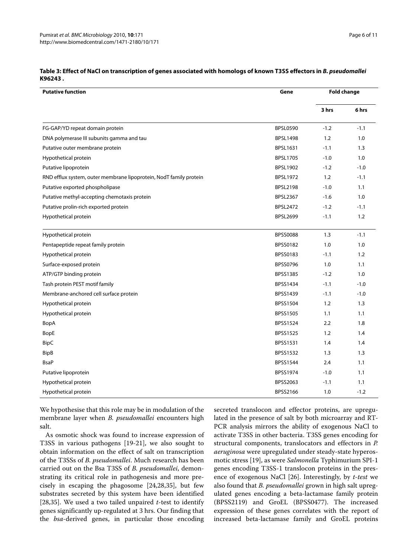| <b>Putative function</b>                                           | Gene            | <b>Fold change</b> |        |
|--------------------------------------------------------------------|-----------------|--------------------|--------|
|                                                                    |                 | 3 hrs              | 6 hrs  |
| FG-GAP/YD repeat domain protein                                    | <b>BPSL0590</b> | $-1.2$             | $-1.1$ |
| DNA polymerase III subunits gamma and tau                          | <b>BPSL1498</b> | 1.2                | 1.0    |
| Putative outer membrane protein                                    | <b>BPSL1631</b> | $-1.1$             | 1.3    |
| Hypothetical protein                                               | <b>BPSL1705</b> | $-1.0$             | 1.0    |
| Putative lipoprotein                                               | <b>BPSL1902</b> | $-1.2$             | $-1.0$ |
| RND efflux system, outer membrane lipoprotein, NodT family protein | <b>BPSL1972</b> | 1.2                | $-1.1$ |
| Putative exported phospholipase                                    | <b>BPSL2198</b> | $-1.0$             | 1.1    |
| Putative methyl-accepting chemotaxis protein                       | <b>BPSL2367</b> | $-1.6$             | 1.0    |
| Putative prolin-rich exported protein                              | <b>BPSL2472</b> | $-1.2$             | $-1.1$ |
| Hypothetical protein                                               | <b>BPSL2699</b> | $-1.1$             | 1.2    |
| Hypothetical protein                                               | <b>BPSS0088</b> | 1.3                | $-1.1$ |
| Pentapeptide repeat family protein                                 | BPSS0182        | 1.0                | 1.0    |
| Hypothetical protein                                               | <b>BPSS0183</b> | $-1.1$             | 1.2    |
| Surface-exposed protein                                            | <b>BPSS0796</b> | 1.0                | 1.1    |
| ATP/GTP binding protein                                            | <b>BPSS1385</b> | $-1.2$             | 1.0    |
| Tash protein PEST motif family                                     | BPSS1434        | $-1.1$             | $-1.0$ |
| Membrane-anchored cell surface protein                             | <b>BPSS1439</b> | $-1.1$             | $-1.0$ |
| Hypothetical protein                                               | BPSS1504        | 1.2                | 1.3    |
| Hypothetical protein                                               | <b>BPSS1505</b> | 1.1                | 1.1    |
| BopA                                                               | BPSS1524        | 2.2                | 1.8    |
| BopE                                                               | <b>BPSS1525</b> | 1.2                | 1.4    |
| <b>BipC</b>                                                        | <b>BPSS1531</b> | 1.4                | 1.4    |
| <b>BipB</b>                                                        | BPSS1532        | 1.3                | 1.3    |
| <b>BsaP</b>                                                        | BPSS1544        | 2.4                | 1.1    |
| Putative lipoprotein                                               | <b>BPSS1974</b> | $-1.0$             | 1.1    |
| Hypothetical protein                                               | BPSS2063        | $-1.1$             | 1.1    |
| Hypothetical protein                                               | BPSS2166        | 1.0                | $-1.2$ |

# **Table 3: Effect of NaCl on transcription of genes associated with homologs of known T3SS effectors in** *B. pseudomallei*  **K96243 .**

We hypothesise that this role may be in modulation of the membrane layer when *B. pseudomallei* encounters high salt.

As osmotic shock was found to increase expression of T3SS in various pathogens [[19](#page-10-15)[-21](#page-10-17)], we also sought to obtain information on the effect of salt on transcription of the T3SSs of *B. pseudomallei*. Much research has been carried out on the Bsa T3SS of *B. pseudomallei*, demonstrating its critical role in pathogenesis and more precisely in escaping the phagosome [\[24](#page-10-20)[,28](#page-10-24)[,35](#page-10-31)], but few substrates secreted by this system have been identified [[28,](#page-10-24)[35\]](#page-10-31). We used a two tailed unpaired *t*-test to identify genes significantly up-regulated at 3 hrs. Our finding that the *bsa*-derived genes, in particular those encoding

secreted translocon and effector proteins, are upregulated in the presence of salt by both microarray and RT-PCR analysis mirrors the ability of exogenous NaCl to activate T3SS in other bacteria. T3SS genes encoding for structural components, translocators and effectors in *P. aeruginosa* were upregulated under steady-state hyperosmotic stress [[19\]](#page-10-15), as were *Salmonella* Typhimurium SPI-1 genes encoding T3SS-1 translocon proteins in the presence of exogenous NaCl [[26](#page-10-22)]. Interestingly, by *t-test* we also found that *B. pseudomallei* grown in high salt upregulated genes encoding a beta-lactamase family protein (BPSS2119) and GroEL (BPSS0477). The increased expression of these genes correlates with the report of increased beta-lactamase family and GroEL proteins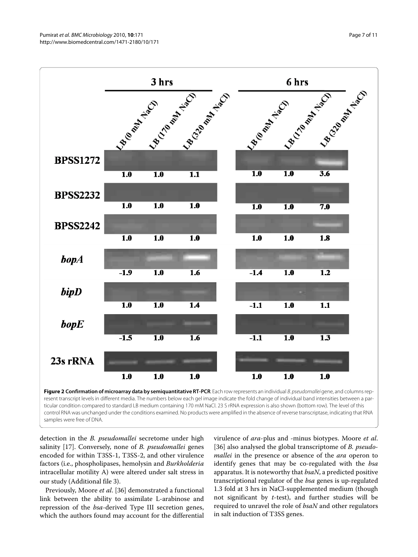<span id="page-6-0"></span>

ticular condition compared to standard LB medium containing 170 mM NaCl. 23 S rRNA expression is also shown (bottom row). The level of this control RNA was unchanged under the conditions examined. No products were amplified in the absence of reverse transcriptase, indicating that RNA samples were free of DNA.

detection in the *B. pseudomallei* secretome under high salinity [[17\]](#page-10-13). Conversely, none of *B. pseudomallei* genes encoded for within T3SS-1, T3SS-2, and other virulence factors (i.e., phospholipases, hemolysin and *Burkholderia* intracellular motility A) were altered under salt stress in our study (Additional file [3](#page-9-5)).

Previously, Moore *et al*. [[36\]](#page-10-32) demonstrated a functional link between the ability to assimilate L-arabinose and repression of the *bsa*-derived Type III secretion genes, which the authors found may account for the differential virulence of *ara*-plus and -minus biotypes. Moore *et al*. [[36\]](#page-10-32) also analysed the global transcriptome of *B. pseudomallei* in the presence or absence of the *ara* operon to identify genes that may be co-regulated with the *bsa* apparatus. It is noteworthy that *bsaN*, a predicted positive transcriptional regulator of the *bsa* genes is up-regulated 1.3 fold at 3 hrs in NaCl-supplemented medium (though not significant by *t*-test), and further studies will be required to unravel the role of *bsaN* and other regulators in salt induction of T3SS genes.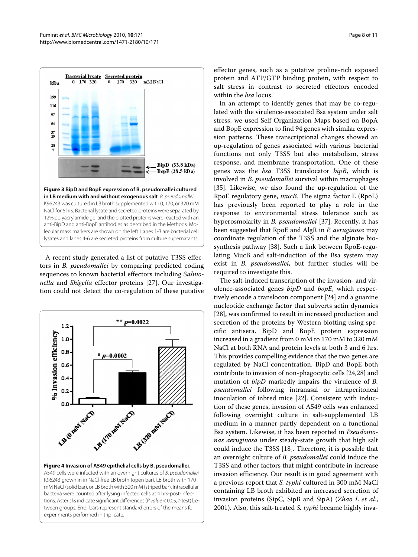<span id="page-7-0"></span>

anti-BipD and anti-BopE antibodies as described in the Methods. Molecular mass markers are shown on the left. Lanes 1-3 are bacterial cell lysates and lanes 4-6 are secreted proteins from culture supernatants.

A recent study generated a list of putative T3SS effectors in *B. pseudomallei* by comparing predicted coding sequences to known bacterial effectors including *Salmonella* and *Shigella* effector proteins [\[27](#page-10-23)]. Our investigation could not detect the co-regulation of these putative

<span id="page-7-1"></span>

**Figure 4 Invasion of A549 epithelial cells by B. pseudomallei**. A549 cells were infected with an overnight cultures of B. pseudomallei K96243 grown in in NaCl-free LB broth (open bar), LB broth with 170 mM NaCl (solid bar), or LB broth with 320 mM (striped bar). Intracellular bacteria were counted after lysing infected cells at 4 hrs-post-infections. Asterisks indicate significant differences (P value < 0.05, t-test) between groups. Error bars represent standard errors of the means for experiments performed in triplicate.

effector genes, such as a putative proline-rich exposed protein and ATP/GTP binding protein, with respect to salt stress in contrast to secreted effectors encoded within the *bsa* locus.

In an attempt to identify genes that may be co-regulated with the virulence-associated Bsa system under salt stress, we used Self Organization Maps based on BopA and BopE expression to find 94 genes with similar expression patterns. These transcriptional changes showed an up-regulation of genes associated with various bacterial functions not only T3SS but also metabolism, stress response, and membrane transportation. One of these genes was the *bsa* T3SS translocator *bipB*, which is involved in *B. pseudomallei* survival within macrophages [[35\]](#page-10-31). Likewise, we also found the up-regulation of the RpoE regulatory gene, *mucB*. The sigma factor E (RpoE) has previously been reported to play a role in the response to environmental stress tolerance such as hyperosmolarity in *B. pseudomallei* [[37](#page-10-33)]. Recently, it has been suggested that RpoE and AlgR in *P. aeruginosa* may coordinate regulation of the T3SS and the alginate biosynthesis pathway [\[38](#page-10-34)]. Such a link between RpoE-regulating MucB and salt-induction of the Bsa system may exist in *B. pseudomallei*, but further studies will be required to investigate this.

The salt-induced transcription of the invasion- and virulence-associated genes *bipD* and *bopE*, which respectively encode a translocon component [[24\]](#page-10-20) and a guanine nucleotide exchange factor that subverts actin dynamics [[28\]](#page-10-24), was confirmed to result in increased production and secretion of the proteins by Western blotting using specific antisera. BipD and BopE protein expression increased in a gradient from 0 mM to 170 mM to 320 mM NaCl at both RNA and protein levels at both 3 and 6 hrs. This provides compelling evidence that the two genes are regulated by NaCl concentration. BipD and BopE both contribute to invasion of non-phagocytic cells [\[24](#page-10-20)[,28](#page-10-24)] and mutation of *bipD* markedly impairs the virulence of *B. pseudomallei* following intranasal or intraperitoneal inoculation of inbred mice [[22\]](#page-10-18). Consistent with induction of these genes, invasion of A549 cells was enhanced following overnight culture in salt-supplemented LB medium in a manner partly dependent on a functional Bsa system. Likewise, it has been reported in *Pseudomonas aeruginosa* under steady-state growth that high salt could induce the T3SS [\[18](#page-10-14)]. Therefore, it is possible that an overnight culture of *B. pseudomallei* could induce the T3SS and other factors that might contribute in increase invasion efficiency. Our result is in good agreement with a previous report that *S. typhi* cultured in 300 mM NaCl containing LB broth exhibited an increased secretion of invasion proteins (SipC, SipB and SipA) (*Zhao L et al*., 2001). Also, this salt-treated *S. typhi* became highly inva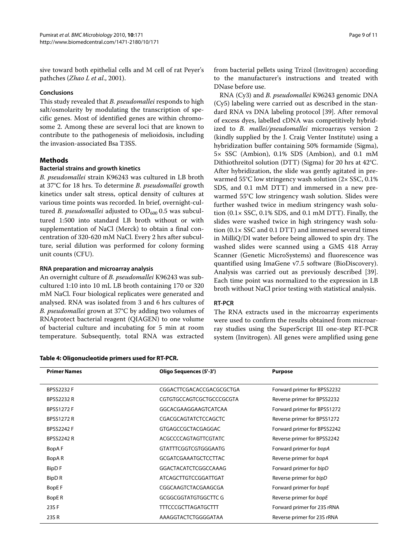sive toward both epithelial cells and M cell of rat Peyer's pathches (*Zhao L et al*., 2001).

#### **Conclusions**

This study revealed that *B. pseudomallei* responds to high salt/osmolarity by modulating the transcription of specific genes. Most of identified genes are within chromosome 2. Among these are several loci that are known to contribute to the pathogenesis of melioidosis, including the invasion-associated Bsa T3SS.

# **Methods**

#### **Bacterial strains and growth kinetics**

*B. pseudomallei* strain K96243 was cultured in LB broth at 37°C for 18 hrs. To determine *B. pseudomallei* growth kinetics under salt stress, optical density of cultures at various time points was recorded. In brief, overnight-cultured *B. pseudomallei* adjusted to OD<sub>600</sub> 0.5 was subcultured 1:500 into standard LB broth without or with supplementation of NaCl (Merck) to obtain a final concentration of 320-620 mM NaCl. Every 2 hrs after subculture, serial dilution was performed for colony forming unit counts (CFU).

#### **RNA preparation and microarray analysis**

An overnight culture of *B. pseudomallei* K96243 was subcultured 1:10 into 10 mL LB broth containing 170 or 320 mM NaCl. Four biological replicates were generated and analysed. RNA was isolated from 3 and 6 hrs cultures of *B. pseudomallei* grown at 37°C by adding two volumes of RNAprotect bacterial reagent (QIAGEN) to one volume of bacterial culture and incubating for 5 min at room temperature. Subsequently, total RNA was extracted

#### **Table 4: Oligonucleotide primers used for RT-PCR.**

from bacterial pellets using Trizol (Invitrogen) according to the manufacturer's instructions and treated with DNase before use.

RNA (Cy3) and *B. pseudomallei* K96243 genomic DNA (Cy5) labeling were carried out as described in the standard RNA vs DNA labeling protocol [[39](#page-10-35)]. After removal of excess dyes, labelled cDNA was competitively hybridized to *B. mallei/pseudomallei* microarrays version 2 (kindly supplied by the J. Craig Venter Institute) using a hybridization buffer containing 50% formamide (Sigma), 5× SSC (Ambion), 0.1% SDS (Ambion), and 0.1 mM Dithiothreitol solution (DTT) (Sigma) for 20 hrs at 42°C. After hybridization, the slide was gently agitated in prewarmed 55°C low stringency wash solution (2× SSC, 0.1% SDS, and 0.1 mM DTT) and immersed in a new prewarmed 55°C low stringency wash solution. Slides were further washed twice in medium stringency wash solution  $(0.1 \times SSC, 0.1\% SDS, and 0.1 mM DTT)$ . Finally, the slides were washed twice in high stringency wash solution  $(0.1 \times SSC$  and  $0.1$  DTT) and immersed several times in MilliQ/DI water before being allowed to spin dry. The washed slides were scanned using a GMS 418 Array Scanner (Genetic MicroSystems) and fluorescence was quantified using ImaGene v7.5 software (BioDiscovery). Analysis was carried out as previously described [\[39](#page-10-35)]. Each time point was normalized to the expression in LB broth without NaCl prior testing with statistical analysis.

# **RT-PCR**

The RNA extracts used in the microarray experiments were used to confirm the results obtained from microarray studies using the SuperScript III one-step RT-PCR system (Invitrogen). All genes were amplified using gene

| <b>Primer Names</b> | Oligo Sequences (5'-3')     | <b>Purpose</b>              |  |
|---------------------|-----------------------------|-----------------------------|--|
| <b>BPSS2232 F</b>   | CGGACTTCGACACCGACGCGCTGA    | Forward primer for BPSS2232 |  |
| <b>BPSS2232 R</b>   | CGTGTGCCAGTCGCTGCCCGCGTA    | Reverse primer for BPSS2232 |  |
| <b>BPSS1272 F</b>   | GGCACGAAGGAAGTCATCAA        | Forward primer for BPSS1272 |  |
| <b>BPSS1272 R</b>   | CGACGCAGTATCTCCAGCTC        | Reverse primer for BPSS1272 |  |
| <b>BPSS2242 F</b>   | GTGAGCCGCTACGAGGAC          | Forward primer for BPSS2242 |  |
| <b>BPSS2242 R</b>   | <b>ACGCCCCAGTAGTTCGTATC</b> | Reverse primer for BPSS2242 |  |
| BopAF               | <b>GTATTTCGGTCGTGGGAATG</b> | Forward primer for bopA     |  |
| BopAR               | <b>GCGATCGAAATGCTCCTTAC</b> | Reverse primer for bopA     |  |
| BipD F              | GGACTACATCTCGGCCAAAG        | Forward primer for bipD     |  |
| <b>BipDR</b>        | ATCAGCTTGTCCGGATTGAT        | Reverse primer for bipD     |  |
| BopE F              | CGGCAAGTCTACGAAGCGA         | Forward primer for bopE     |  |
| BopE <sub>R</sub>   | <b>GCGGCGGTATGTGGCTTC G</b> | Reverse primer for bopE     |  |
| 23S F               | <b>TTTCCCGCTTAGATGCTTT</b>  | Forward primer for 23S rRNA |  |
| 23S R               | AAAGGTACTCTGGGGATAA         | Reverse primer for 23S rRNA |  |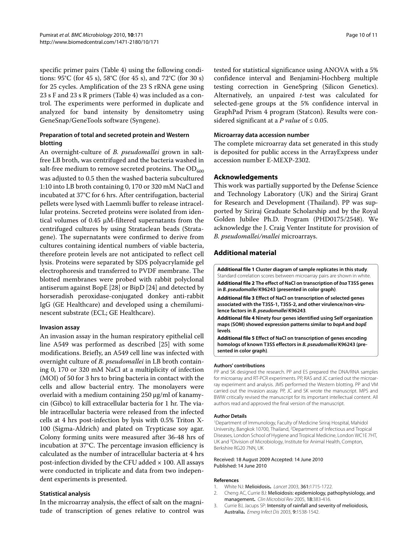specific primer pairs (Table 4) using the following conditions: 95°C (for 45 s), 58°C (for 45 s), and 72°C (for 30 s) for 25 cycles. Amplification of the 23 S rRNA gene using 23 s F and 23 s R primers (Table 4) was included as a control. The experiments were performed in duplicate and analyzed for band intensity by densitometry using GeneSnap/GeneTools software (Syngene).

# **Preparation of total and secreted protein and Western blotting**

An overnight-culture of *B. pseudomallei* grown in saltfree LB broth, was centrifuged and the bacteria washed in salt-free medium to remove secreted proteins. The  $OD_{600}$ was adjusted to 0.5 then the washed bacteria subcultured 1:10 into LB broth containing 0, 170 or 320 mM NaCl and incubated at 37°C for 6 hrs. After centrifugation, bacterial pellets were lysed with Laemmli buffer to release intracellular proteins. Secreted proteins were isolated from identical volumes of 0.45 μM-filtered supernatants from the centrifuged cultures by using Strataclean beads (Stratagene). The supernatants were confirmed to derive from cultures containing identical numbers of viable bacteria, therefore protein levels are not anticipated to reflect cell lysis. Proteins were separated by SDS polyacrylamide gel electrophoresis and transferred to PVDF membrane. The blotted membranes were probed with rabbit polyclonal antiserum against BopE [[28](#page-10-24)] or BipD [\[24](#page-10-20)] and detected by horseradish peroxidase-conjugated donkey anti-rabbit IgG (GE Healthcare) and developed using a chemiluminescent substrate (ECL; GE Healthcare).

# **Invasion assay**

An invasion assay in the human respiratory epithelial cell line A549 was performed as described [\[25\]](#page-10-21) with some modifications. Briefly, an A549 cell line was infected with overnight culture of *B. pseudomallei* in LB broth containing 0, 170 or 320 mM NaCl at a multiplicity of infection (MOI) of 50 for 3 hrs to bring bacteria in contact with the cells and allow bacterial entry. The monolayers were overlaid with a medium containing 250 μg/ml of kanamycin (Gibco) to kill extracellular bacteria for 1 hr. The viable intracellular bacteria were released from the infected cells at 4 hrs post-infection by lysis with 0.5% Triton X-100 (Sigma-Aldrich) and plated on Trypticase soy agar. Colony forming units were measured after 36-48 hrs of incubation at 37°C. The percentage invasion efficiency is calculated as the number of intracellular bacteria at 4 hrs post-infection divided by the CFU added  $\times$  100. All assays were conducted in triplicate and data from two independent experiments is presented.

# **Statistical analysis**

In the microarray analysis, the effect of salt on the magnitude of transcription of genes relative to control was tested for statistical significance using ANOVA with a 5% confidence interval and Benjamini-Hochberg multiple testing correction in GeneSpring (Silicon Genetics). Alternatively, an unpaired *t*-test was calculated for selected-gene groups at the 5% confidence interval in GraphPad Prism 4 program (Statcon). Results were considered significant at a *P value* of  $\leq 0.05$ .

#### **Microarray data accession number**

The complete microarray data set generated in this study is deposited for public access in the ArrayExpress under accession number E-MEXP-2302.

# **Acknowledgements**

This work was partially supported by the Defense Science and Technology Laboratory (UK) and the Siriraj Grant for Research and Development (Thailand). PP was supported by Siriraj Graduate Scholarship and by the Royal Golden Jubilee Ph.D. Program (PHD0175/2548). We acknowledge the J. Craig Venter Institute for provision of *B. pseudomallei/mallei* microarrays.

# **Additional material**

<span id="page-9-4"></span><span id="page-9-3"></span>**[Additional file 1](http://www.biomedcentral.com/content/supplementary/1471-2180-10-171-S1.DOC) Cluster diagram of sample replicates in this study**. Standard correlation scores between microarray pairs are shown in white. **[Additional file 2](http://www.biomedcentral.com/content/supplementary/1471-2180-10-171-S2.DOC) The effect of NaCl on transcription of** *bsa* **T3SS genes in** *B. pseudomallei* **K96243 (presented in color graph)**.

<span id="page-9-5"></span>**[Additional file 3](http://www.biomedcentral.com/content/supplementary/1471-2180-10-171-S3.DOC) Effect of NaCl on transcription of selected genes associated with the T3SS-1, T3SS-2, and other virulence/non-virulence factors in** *B. pseudomallei* **K96243**.

<span id="page-9-6"></span>**[Additional file 4](http://www.biomedcentral.com/content/supplementary/1471-2180-10-171-S4.DOC) Ninety four genes identified using Self organization maps (SOM) showed expression patterns similar to** *bopA* **and** *bopE*  **levels**.

<span id="page-9-7"></span>**[Additional file 5](http://www.biomedcentral.com/content/supplementary/1471-2180-10-171-S5.DOC) Effect of NaCl on transcription of genes encoding homologs of known T3SS effectors in** *B. pseudomallei* **K96243 (presented in color graph)**.

#### **Authors' contributions**

PP and SK designed the research. PP and ES prepared the DNA/RNA samples for microarray and RT-PCR experiments. PP, RAS and JC carried out the microarray experiment and analysis. JMS performed the Western blotting. PP and VM carried out the invasion assay. PP, JC and SK wrote the manuscript. MPS and BWW critically revised the manuscript for its important intellectual content. All authors read and approved the final version of the manuscript.

#### **Author Details**

1Department of Immunology, Faculty of Medicine Siriraj Hospital, Mahidol University, Bangkok 10700, Thailand, 2Department of Infectious and Tropical Diseases, London School of Hygiene and Tropical Medicine, London WC1E 7HT, UK and 3Division of Microbiology, Institute for Animal Health, Compton, Berkshire RG20 7NN, UK

#### Received: 18 August 2009 Accepted: 14 June 2010 Published: 14 June 2010

#### **References**

- <span id="page-9-0"></span>1. White NJ: Melioidosis**.** Lancet 2003, 361:1715-1722.
- <span id="page-9-1"></span>2. Cheng AC, Currie BJ: Melioidosis: epidemiology, pathophysiology, and management**.** Clin Microbiol Rev 2005, 18:383-416.
- <span id="page-9-2"></span>3. Currie BJ, Jacups SP: Intensity of rainfall and severity of melioidosis, Australia**.** Emerg Infect Dis 2003, 9:1538-1542.